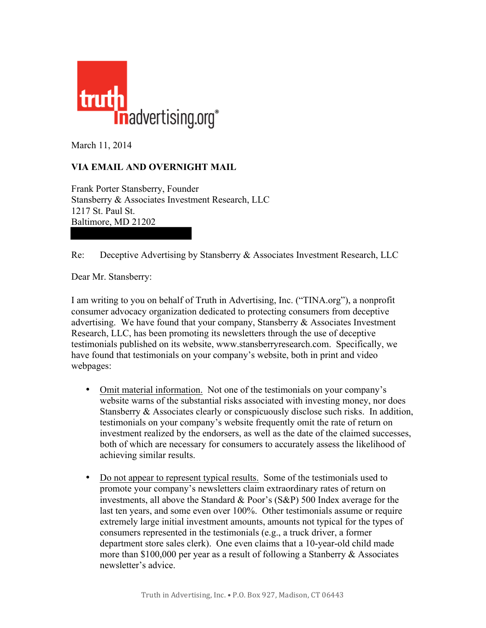

March 11, 2014

## **VIA EMAIL AND OVERNIGHT MAIL**

Frank Porter Stansberry, Founder Stansberry & Associates Investment Research, LLC 1217 St. Paul St. Baltimore, MD 21202

Re: Deceptive Advertising by Stansberry & Associates Investment Research, LLC

Dear Mr. Stansberry:

I am writing to you on behalf of Truth in Advertising, Inc. ("TINA.org"), a nonprofit consumer advocacy organization dedicated to protecting consumers from deceptive advertising. We have found that your company, Stansberry & Associates Investment Research, LLC, has been promoting its newsletters through the use of deceptive testimonials published on its website, www.stansberryresearch.com. Specifically, we have found that testimonials on your company's website, both in print and video webpages:

- Omit material information. Not one of the testimonials on your company's website warns of the substantial risks associated with investing money, nor does Stansberry & Associates clearly or conspicuously disclose such risks. In addition, testimonials on your company's website frequently omit the rate of return on investment realized by the endorsers, as well as the date of the claimed successes, both of which are necessary for consumers to accurately assess the likelihood of achieving similar results.
- Do not appear to represent typical results. Some of the testimonials used to promote your company's newsletters claim extraordinary rates of return on investments, all above the Standard & Poor's (S&P) 500 Index average for the last ten years, and some even over 100%. Other testimonials assume or require extremely large initial investment amounts, amounts not typical for the types of consumers represented in the testimonials (e.g., a truck driver, a former department store sales clerk). One even claims that a 10-year-old child made more than \$100,000 per year as a result of following a Stanberry  $\&$  Associates newsletter's advice.